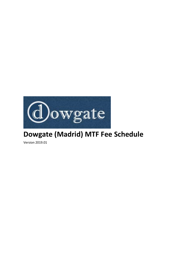

# **Dowgate (Madrid) MTF Fee Schedule**

Version 2019.01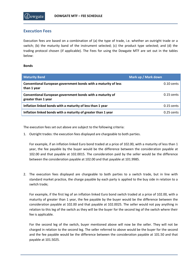

### **Execution Fees**

Execution fees are based on a combination of (a) the type of trade, i.e. whether an outright trade or a switch; (b) the maturity band of the instrument selected; (c) the product type selected; and (d) the trading protocol chosen (if applicable). The Fees for using the Dowgate MTF are set out in the tables below:

#### **Bonds**

| <b>Maturity Band</b>                                                             | Mark up / Mark down |
|----------------------------------------------------------------------------------|---------------------|
| Conventional European government bonds with a maturity of less<br>than 1 year    | $0.10$ cents        |
| Conventional European government bonds with a maturity of<br>greater than 1 year | $0.15$ cents        |
| Inflation linked bonds with a maturity of less than 1 year                       | $0.15$ cents        |
| Inflation linked bonds with a maturity of greater than 1 year                    | $0.25$ cents        |

The execution fees set out above are subject to the following criteria:

1. Outright trades: the execution fees displayed are chargeable to both parties.

For example, if an inflation linked Euro bond traded at a price of 102.00, with a maturity of less than 1 year, the fee payable by the buyer would be the difference between the consideration payable at 102.00 and that payable at 102.0015. The consideration paid by the seller would be the difference between the consideration payable at 102.00 and that payable at 101.9985.

2. The execution fees displayed are chargeable to both parties to a switch trade, but in line with standard market practice, the charge payable by each party is applied to the buy side in relation to a switch trade;

For example, if the first leg of an inflation linked Euro bond switch traded at a price of 102.00, with a maturity of greater than 1 year, the fee payable by the buyer would be the difference between the consideration payable at 102.00 and that payable at 102.0025. The seller would not pay anything in relation to this leg of the switch as they will be the buyer for the second leg of the switch where their fee is applicable.

For the second leg of the switch, buyer mentioned above will now be the seller. They will not be charged in relation to the second leg. The seller referred to above would be the buyer for the second and the fee payable would be the difference between the consideration payable at 101.50 and that payable at 101.5025.